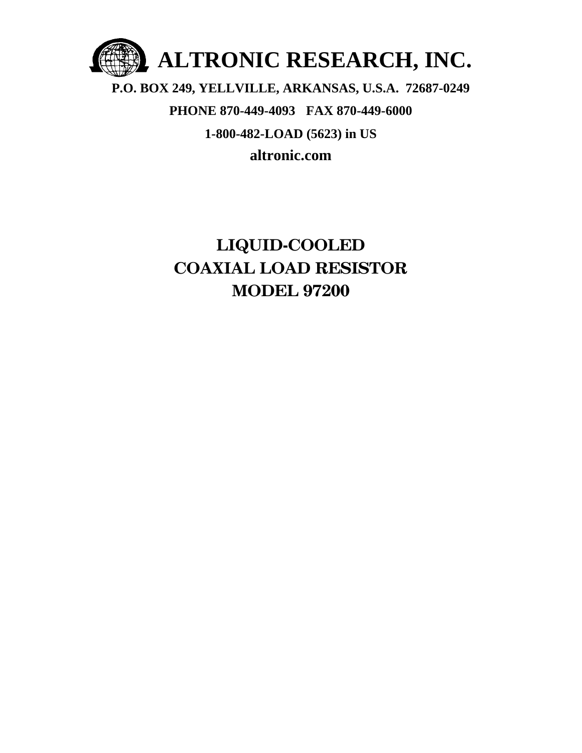

### **P.O. BOX 249, YELLVILLE, ARKANSAS, U.S.A. 72687-0249 PHONE 870-449-4093 FAX 870-449-6000 1-800-482-LOAD (5623) in US altronic.com**

### **LIQUID-COOLED COAXIAL LOAD RESISTOR MODEL 97200**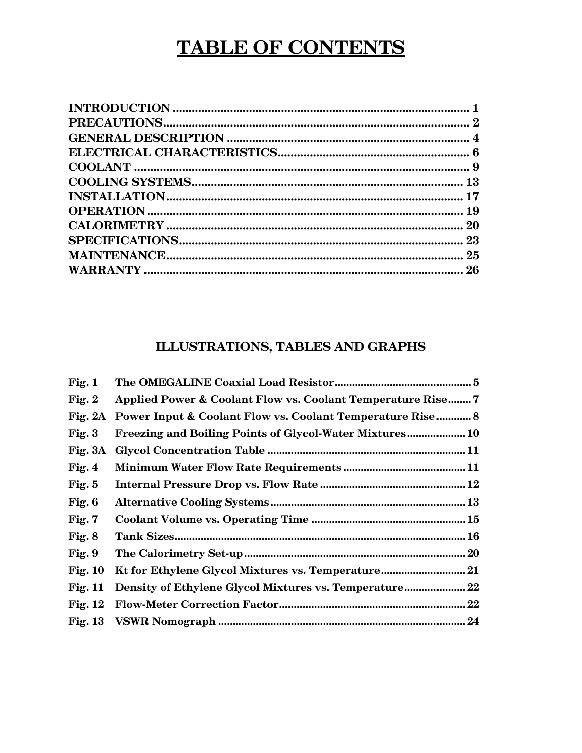### **TABLE OF CONTENTS**

### ILLUSTRATIONS, TABLES AND GRAPHS

| Fig. 1    |                                                                      |  |
|-----------|----------------------------------------------------------------------|--|
| Fig. $2$  | Applied Power & Coolant Flow vs. Coolant Temperature Rise 7          |  |
| Fig. $2A$ | <b>Power Input &amp; Coolant Flow vs. Coolant Temperature Rise 8</b> |  |
| Fig. $3$  | <b>Freezing and Boiling Points of Glycol-Water Mixtures 10</b>       |  |
| Fig. 3A   |                                                                      |  |
| Fig. $4$  |                                                                      |  |
| Fig. $5$  |                                                                      |  |
| Fig. $6$  |                                                                      |  |
| Fig. 7    |                                                                      |  |
| Fig. $8$  |                                                                      |  |
| Fig. 9    |                                                                      |  |
| Fig. $10$ | Kt for Ethylene Glycol Mixtures vs. Temperature 21                   |  |
| Fig. 11   | Density of Ethylene Glycol Mixtures vs. Temperature 22               |  |
| Fig. 12   |                                                                      |  |
|           |                                                                      |  |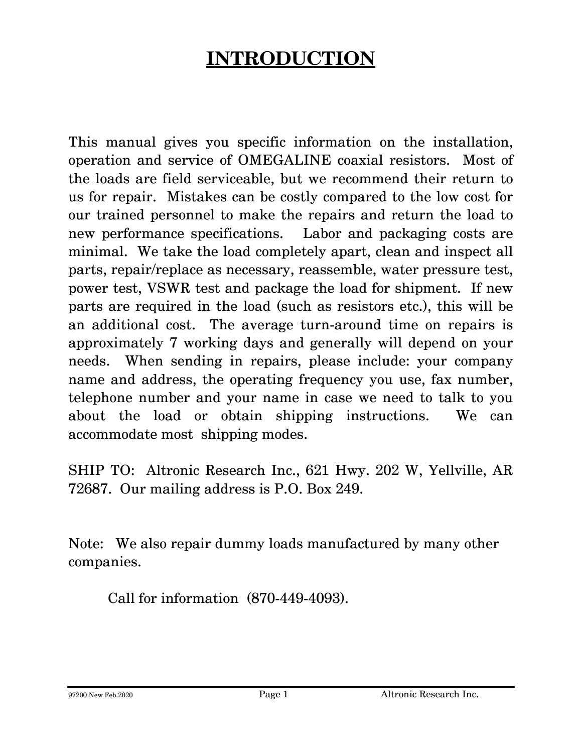# **INTRODUCTION**

This manual gives you specific information on the installation, operation and service of OMEGALINE coaxial resistors. Most of the loads are field serviceable, but we recommend their return to us for repair. Mistakes can be costly compared to the low cost for our trained personnel to make the repairs and return the load to new performance specifications. Labor and packaging costs are minimal. We take the load completely apart, clean and inspect all parts, repair/replace as necessary, reassemble, water pressure test, power test, VSWR test and package the load for shipment. If new parts are required in the load (such as resistors etc.), this will be an additional cost. The average turn-around time on repairs is approximately 7 working days and generally will depend on your needs. When sending in repairs, please include: your company name and address, the operating frequency you use, fax number, telephone number and your name in case we need to talk to you about the load or obtain shipping instructions. We can accommodate most shipping modes.

SHIP TO: Altronic Research Inc., 621 Hwy. 202 W, Yellville, AR 72687. Our mailing address is P.O. Box 249.

Note: We also repair dummy loads manufactured by many other companies.

Call for information (870-449-4093).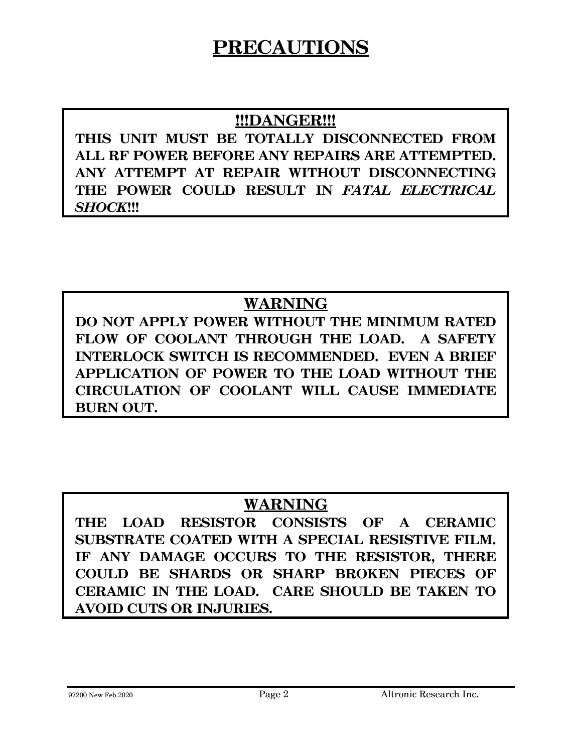### **PRECAUTIONS**

### **!!!DANGER!!!**

**THIS UNIT MUST BE TOTALLY DISCONNECTED FROM ALL RF POWER BEFORE ANY REPAIRS ARE ATTEMPTED. ANY ATTEMPT AT REPAIR WITHOUT DISCONNECTING THE POWER COULD RESULT IN** *FATAL ELECTRICAL SHOCK***!!!** 

### **WARNING**

**DO NOT APPLY POWER WITHOUT THE MINIMUM RATED FLOW OF COOLANT THROUGH THE LOAD. A SAFETY INTERLOCK SWITCH IS RECOMMENDED. EVEN A BRIEF APPLICATION OF POWER TO THE LOAD WITHOUT THE CIRCULATION OF COOLANT WILL CAUSE IMMEDIATE BURN OUT.** 

### **WARNING**

**THE LOAD RESISTOR CONSISTS OF A CERAMIC SUBSTRATE COATED WITH A SPECIAL RESISTIVE FILM. IF ANY DAMAGE OCCURS TO THE RESISTOR, THERE COULD BE SHARDS OR SHARP BROKEN PIECES OF CERAMIC IN THE LOAD. CARE SHOULD BE TAKEN TO AVOID CUTS OR INJURIES.**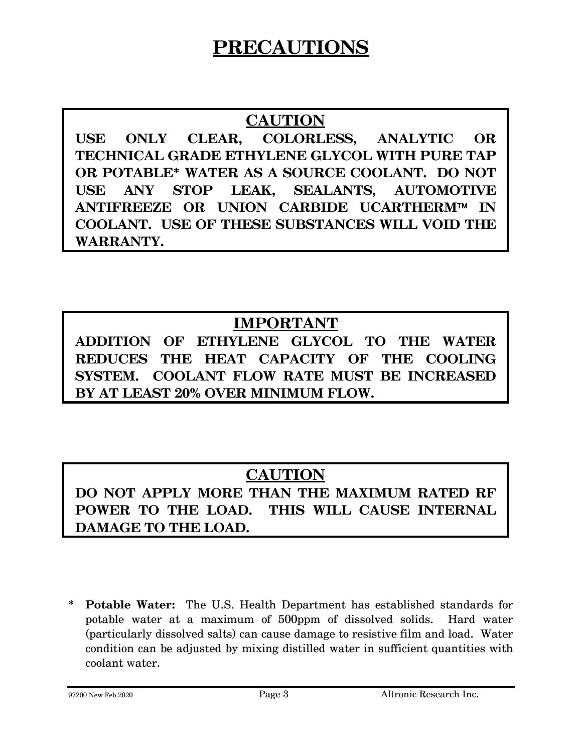### **PRECAUTIONS**

### **CAUTION**

**USE ONLY CLEAR, COLORLESS, ANALYTIC OR TECHNICAL GRADE ETHYLENE GLYCOL WITH PURE TAP OR POTABLE\* WATER AS A SOURCE COOLANT. DO NOT USE ANY STOP LEAK, SEALANTS, AUTOMOTIVE ANTIFREEZE OR UNION CARBIDE UCARTHERM**™ **IN COOLANT. USE OF THESE SUBSTANCES WILL VOID THE WARRANTY.** 

### **IMPORTANT**

**ADDITION OF ETHYLENE GLYCOL TO THE WATER REDUCES THE HEAT CAPACITY OF THE COOLING SYSTEM. COOLANT FLOW RATE MUST BE INCREASED BY AT LEAST 20% OVER MINIMUM FLOW.** 

### **CAUTION**

**DO NOT APPLY MORE THAN THE MAXIMUM RATED RF POWER TO THE LOAD. THIS WILL CAUSE INTERNAL DAMAGE TO THE LOAD.** 

**\* Potable Water:** The U.S. Health Department has established standards for potable water at a maximum of 500ppm of dissolved solids. Hard water (particularly dissolved salts) can cause damage to resistive film and load. Water condition can be adjusted by mixing distilled water in sufficient quantities with coolant water.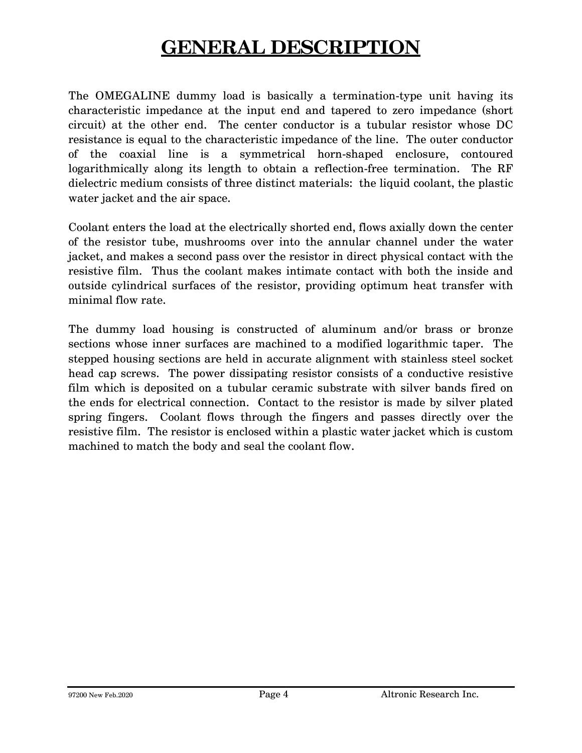## **GENERAL DESCRIPTION**

The OMEGALINE dummy load is basically a termination-type unit having its characteristic impedance at the input end and tapered to zero impedance (short circuit) at the other end. The center conductor is a tubular resistor whose DC resistance is equal to the characteristic impedance of the line. The outer conductor of the coaxial line is a symmetrical horn-shaped enclosure, contoured logarithmically along its length to obtain a reflection-free termination. The RF dielectric medium consists of three distinct materials: the liquid coolant, the plastic water jacket and the air space.

Coolant enters the load at the electrically shorted end, flows axially down the center of the resistor tube, mushrooms over into the annular channel under the water jacket, and makes a second pass over the resistor in direct physical contact with the resistive film. Thus the coolant makes intimate contact with both the inside and outside cylindrical surfaces of the resistor, providing optimum heat transfer with minimal flow rate.

The dummy load housing is constructed of aluminum and/or brass or bronze sections whose inner surfaces are machined to a modified logarithmic taper. The stepped housing sections are held in accurate alignment with stainless steel socket head cap screws. The power dissipating resistor consists of a conductive resistive film which is deposited on a tubular ceramic substrate with silver bands fired on the ends for electrical connection. Contact to the resistor is made by silver plated spring fingers. Coolant flows through the fingers and passes directly over the resistive film. The resistor is enclosed within a plastic water jacket which is custom machined to match the body and seal the coolant flow.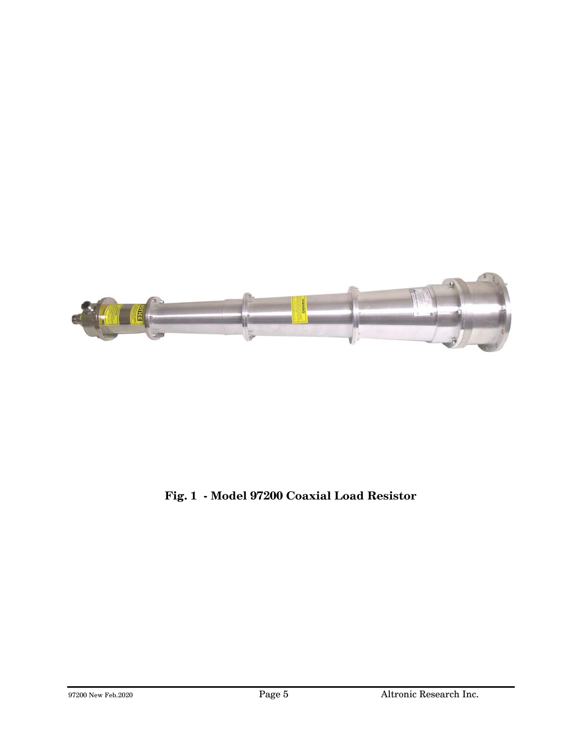

### **Fig. 1 - Model 97200 Coaxial Load Resistor**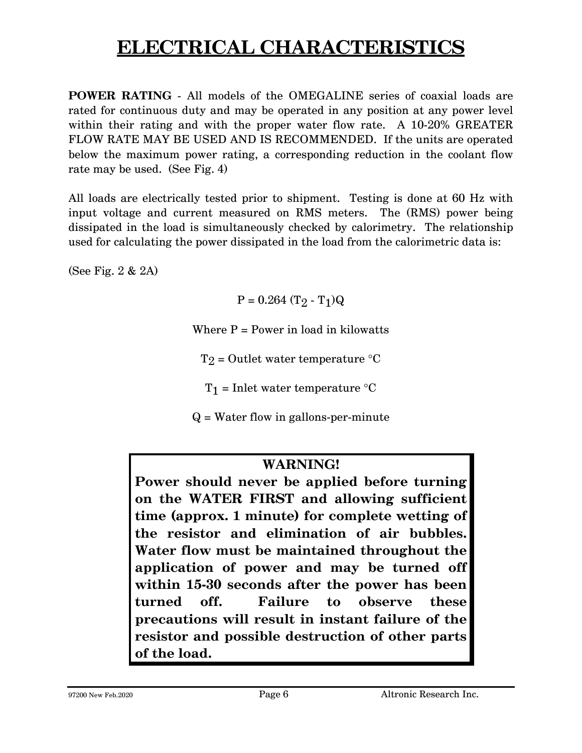# **ELECTRICAL CHARACTERISTICS**

**POWER RATING** - All models of the OMEGALINE series of coaxial loads are rated for continuous duty and may be operated in any position at any power level within their rating and with the proper water flow rate. A 10-20% GREATER FLOW RATE MAY BE USED AND IS RECOMMENDED. If the units are operated below the maximum power rating, a corresponding reduction in the coolant flow rate may be used. (See Fig. 4)

All loads are electrically tested prior to shipment. Testing is done at 60 Hz with input voltage and current measured on RMS meters. The (RMS) power being dissipated in the load is simultaneously checked by calorimetry. The relationship used for calculating the power dissipated in the load from the calorimetric data is:

(See Fig. 2 & 2A)

 $P = 0.264$  (T<sub>2</sub> - T<sub>1</sub>)Q

Where  $P = Power$  in load in kilowatts

 $T_2$  = Outlet water temperature  ${}^{\circ}C$ 

 $T_1$  = Inlet water temperature  ${}^{\circ}C$ 

 $Q = Water$  flow in gallons-per-minute

### **WARNING!**

**Power should never be applied before turning on the WATER FIRST and allowing sufficient time (approx. 1 minute) for complete wetting of the resistor and elimination of air bubbles. Water flow must be maintained throughout the application of power and may be turned off within 15-30 seconds after the power has been turned off. Failure to observe these precautions will result in instant failure of the resistor and possible destruction of other parts of the load.**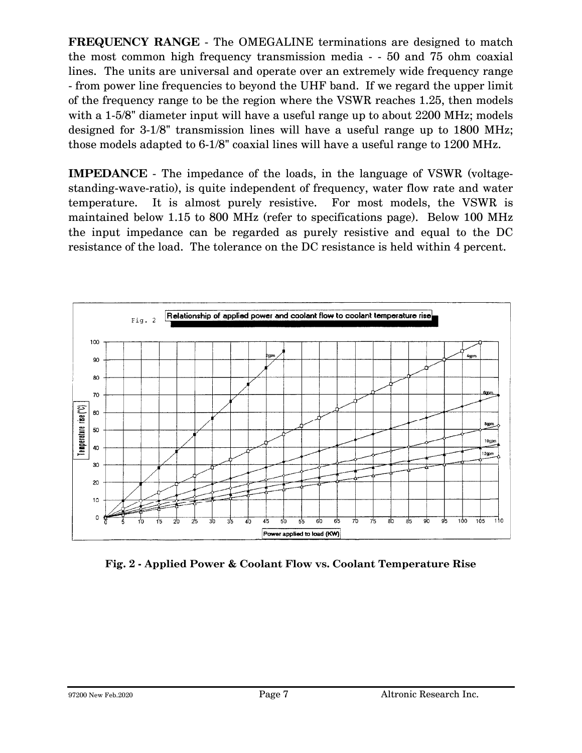**FREQUENCY RANGE** - The OMEGALINE terminations are designed to match the most common high frequency transmission media - - 50 and 75 ohm coaxial lines. The units are universal and operate over an extremely wide frequency range - from power line frequencies to beyond the UHF band. If we regard the upper limit of the frequency range to be the region where the VSWR reaches 1.25, then models with a 1-5/8" diameter input will have a useful range up to about 2200 MHz; models designed for 3-1/8" transmission lines will have a useful range up to 1800 MHz; those models adapted to 6-1/8" coaxial lines will have a useful range to 1200 MHz.

**IMPEDANCE** - The impedance of the loads, in the language of VSWR (voltagestanding-wave-ratio), is quite independent of frequency, water flow rate and water temperature. It is almost purely resistive. For most models, the VSWR is maintained below 1.15 to 800 MHz (refer to specifications page). Below 100 MHz the input impedance can be regarded as purely resistive and equal to the DC resistance of the load. The tolerance on the DC resistance is held within 4 percent.



**Fig. 2 - Applied Power & Coolant Flow vs. Coolant Temperature Rise**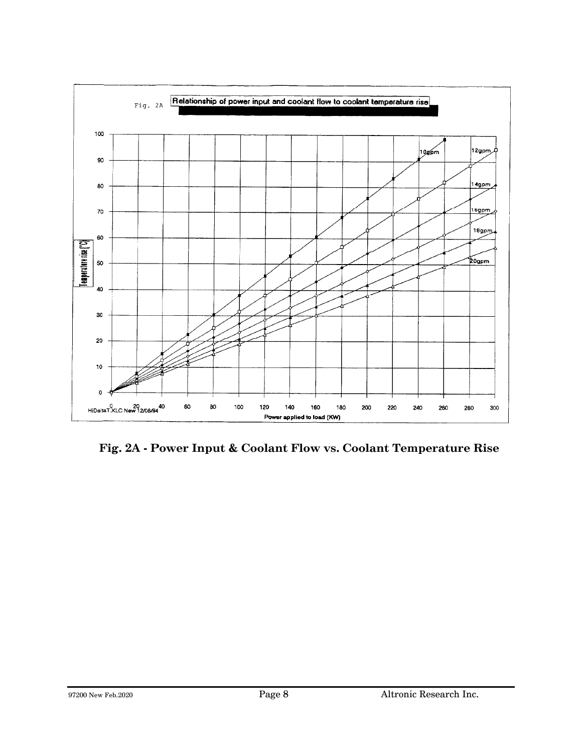

**Fig. 2A - Power Input & Coolant Flow vs. Coolant Temperature Rise**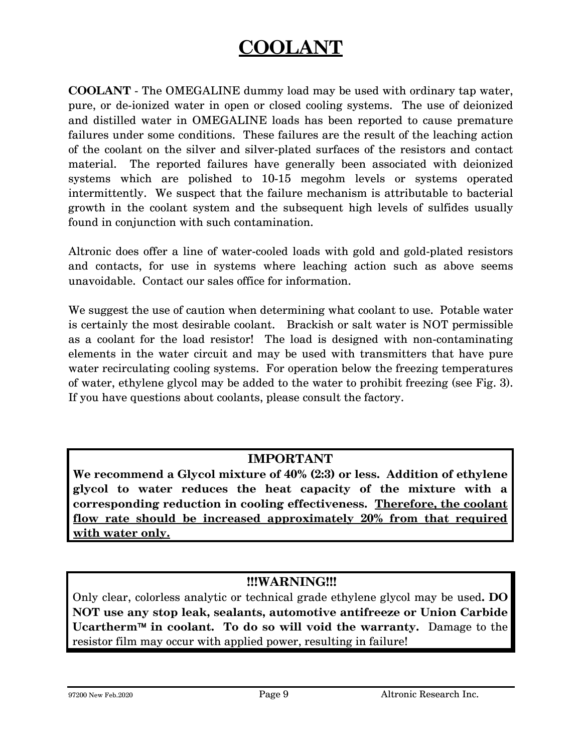## **COOLANT**

**COOLANT** - The OMEGALINE dummy load may be used with ordinary tap water, pure, or de-ionized water in open or closed cooling systems. The use of deionized and distilled water in OMEGALINE loads has been reported to cause premature failures under some conditions. These failures are the result of the leaching action of the coolant on the silver and silver-plated surfaces of the resistors and contact material. The reported failures have generally been associated with deionized systems which are polished to 10-15 megohm levels or systems operated intermittently. We suspect that the failure mechanism is attributable to bacterial growth in the coolant system and the subsequent high levels of sulfides usually found in conjunction with such contamination.

Altronic does offer a line of water-cooled loads with gold and gold-plated resistors and contacts, for use in systems where leaching action such as above seems unavoidable. Contact our sales office for information.

We suggest the use of caution when determining what coolant to use. Potable water is certainly the most desirable coolant. Brackish or salt water is NOT permissible as a coolant for the load resistor! The load is designed with non-contaminating elements in the water circuit and may be used with transmitters that have pure water recirculating cooling systems. For operation below the freezing temperatures of water, ethylene glycol may be added to the water to prohibit freezing (see Fig. 3). If you have questions about coolants, please consult the factory.

#### **IMPORTANT**

**We recommend a Glycol mixture of 40% (2:3) or less. Addition of ethylene glycol to water reduces the heat capacity of the mixture with a corresponding reduction in cooling effectiveness. Therefore, the coolant flow rate should be increased approximately 20% from that required with water only.**

#### **!!!WARNING!!!**

Only clear, colorless analytic or technical grade ethylene glycol may be used**. DO NOT use any stop leak, sealants, automotive antifreeze or Union Carbide Ucartherm**™ **in coolant. To do so will void the warranty.** Damage to the resistor film may occur with applied power, resulting in failure!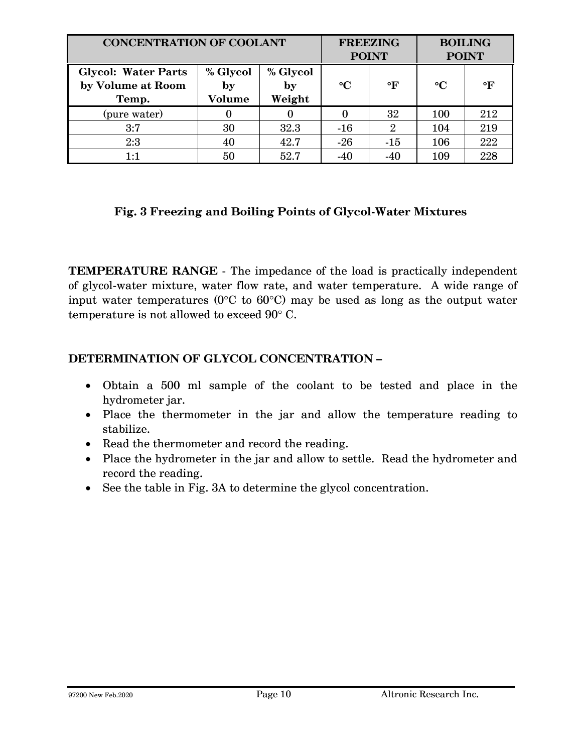| <b>CONCENTRATION OF COOLANT</b>                          |                          | <b>FREEZING</b><br><b>POINT</b> |                 | <b>BOILING</b><br><b>POINT</b> |                 |           |
|----------------------------------------------------------|--------------------------|---------------------------------|-----------------|--------------------------------|-----------------|-----------|
| <b>Glycol: Water Parts</b><br>by Volume at Room<br>Temp. | % Glycol<br>by<br>Volume | % Glycol<br>by<br>Weight        | $\rm ^{\circ}C$ | °F                             | $\rm ^{\circ}C$ | $\circ$ F |
| (pure water)                                             |                          |                                 | 0               | 32                             | 100             | 212       |
| 3:7                                                      | 30                       | 32.3                            | $-16$           | $\overline{2}$                 | 104             | 219       |
| 2:3                                                      | 40                       | 42.7                            | $-26$           | $-15$                          | 106             | 222       |
| 1:1                                                      | 50                       | 52.7                            | $-40$           | $-40$                          | 109             | 228       |

#### **Fig. 3 Freezing and Boiling Points of Glycol-Water Mixtures**

**TEMPERATURE RANGE** - The impedance of the load is practically independent of glycol-water mixture, water flow rate, and water temperature. A wide range of input water temperatures (0°C to 60°C) may be used as long as the output water temperature is not allowed to exceed 90° C.

#### **DETERMINATION OF GLYCOL CONCENTRATION –**

- Obtain a 500 ml sample of the coolant to be tested and place in the hydrometer jar.
- Place the thermometer in the jar and allow the temperature reading to stabilize.
- Read the thermometer and record the reading.
- Place the hydrometer in the jar and allow to settle. Read the hydrometer and record the reading.
- See the table in Fig. 3A to determine the glycol concentration.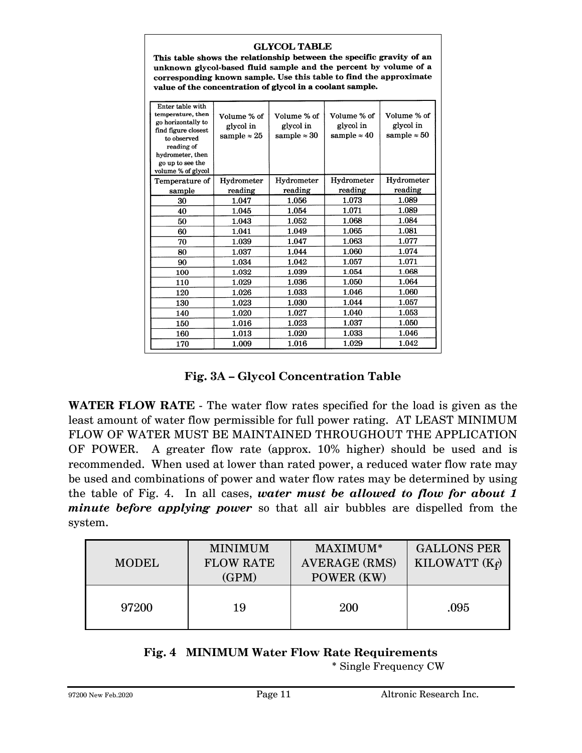#### **GLYCOL TABLE**

This table shows the relationship between the specific gravity of an unknown glycol-based fluid sample and the percent by volume of a corresponding known sample. Use this table to find the approximate value of the concentration of glycol in a coolant sample.

| Enter table with<br>temperature, then<br>go horizontally to<br>find figure closest<br>to observed<br>reading of<br>hydrometer, then<br>go up to see the<br>volume % of glycol | Volume % of<br>glycol in<br>sample $\approx 25$ | Volume % of<br>glycol in<br>sample $\approx 30$ | Volume % of<br>glycol in<br>sample $\approx 40$ | Volume % of<br>glycol in<br>sample $\approx 50$ |
|-------------------------------------------------------------------------------------------------------------------------------------------------------------------------------|-------------------------------------------------|-------------------------------------------------|-------------------------------------------------|-------------------------------------------------|
| Temperature of                                                                                                                                                                | Hydrometer                                      | Hydrometer                                      | Hydrometer                                      | Hydrometer                                      |
| sample                                                                                                                                                                        | reading                                         | reading                                         | reading                                         | reading                                         |
| 30                                                                                                                                                                            | 1.047                                           | 1.056                                           | 1.073                                           | 1.089                                           |
| 40                                                                                                                                                                            | 1.045                                           | 1.054                                           | 1.071                                           | 1.089                                           |
| 50                                                                                                                                                                            | 1.043                                           | 1.052                                           | 1.068                                           | 1.084                                           |
| 60                                                                                                                                                                            | 1.041                                           | 1.049                                           | 1.065                                           | 1.081                                           |
| 70                                                                                                                                                                            | 1.039                                           | 1.047                                           | 1.063                                           | 1.077                                           |
| 80                                                                                                                                                                            | 1.037                                           | 1.044                                           | 1.060                                           | 1.074                                           |
| 90                                                                                                                                                                            | 1.034                                           | 1.042                                           | 1.057                                           | 1.071                                           |
| 100                                                                                                                                                                           | 1.032                                           | 1.039                                           | 1.054                                           | 1.068                                           |
| 110                                                                                                                                                                           | 1.029                                           | 1.036                                           | 1.050                                           | 1.064                                           |
| 120                                                                                                                                                                           | 1.026                                           | 1.033                                           | 1.046                                           | 1.060                                           |
| 130                                                                                                                                                                           | 1.023                                           | 1.030                                           | 1.044                                           | 1.057                                           |
| 140                                                                                                                                                                           | 1.020                                           | 1.027                                           | 1.040                                           | 1.053                                           |
| 150                                                                                                                                                                           | 1.016                                           | 1.023                                           | 1.037                                           | 1.050                                           |
| 160                                                                                                                                                                           | 1.013                                           | 1.020                                           | 1.033                                           | 1.046                                           |
| 170                                                                                                                                                                           | 1.009                                           | 1.016                                           | 1.029                                           | 1.042                                           |

#### **Fig. 3A – Glycol Concentration Table**

**WATER FLOW RATE** - The water flow rates specified for the load is given as the least amount of water flow permissible for full power rating. AT LEAST MINIMUM FLOW OF WATER MUST BE MAINTAINED THROUGHOUT THE APPLICATION OF POWER. A greater flow rate (approx. 10% higher) should be used and is recommended. When used at lower than rated power, a reduced water flow rate may be used and combinations of power and water flow rates may be determined by using the table of Fig. 4. In all cases, *water must be allowed to flow for about 1 minute before applying power* so that all air bubbles are dispelled from the system.

| <b>MODEL</b> | <b>MINIMUM</b><br><b>FLOW RATE</b><br>(GPM) | MAXIMUM*<br><b>AVERAGE (RMS)</b><br>POWER (KW) | <b>GALLONS PER</b><br>KILOWATT $(K_f)$ |
|--------------|---------------------------------------------|------------------------------------------------|----------------------------------------|
| 97200        | 19                                          | 200                                            | .095                                   |

#### **Fig. 4 MINIMUM Water Flow Rate Requirements**

\* Single Frequency CW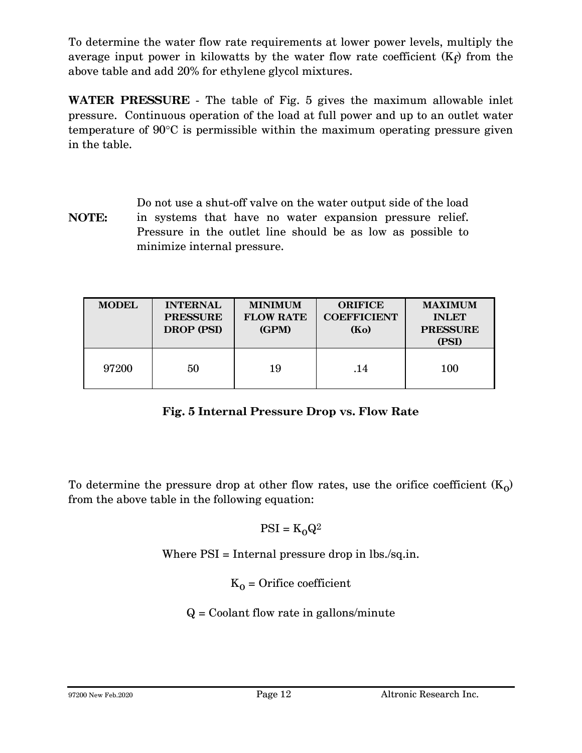To determine the water flow rate requirements at lower power levels, multiply the average input power in kilowatts by the water flow rate coefficient  $(K_f)$  from the above table and add 20% for ethylene glycol mixtures.

**WATER PRESSURE** - The table of Fig. 5 gives the maximum allowable inlet pressure. Continuous operation of the load at full power and up to an outlet water temperature of 90°C is permissible within the maximum operating pressure given in the table.

**NOTE:** Do not use a shut-off valve on the water output side of the load in systems that have no water expansion pressure relief. Pressure in the outlet line should be as low as possible to minimize internal pressure.

| <b>MODEL</b> | <b>INTERNAL</b><br><b>PRESSURE</b><br>DROP (PSI) | <b>MINIMUM</b><br><b>FLOW RATE</b><br>(GPM) | <b>ORIFICE</b><br><b>COEFFICIENT</b><br>(Ko) | <b>MAXIMUM</b><br><b>INLET</b><br><b>PRESSURE</b><br>(PSI) |
|--------------|--------------------------------------------------|---------------------------------------------|----------------------------------------------|------------------------------------------------------------|
| 97200        | 50                                               | 19                                          | .14                                          | 100                                                        |

### **Fig. 5 Internal Pressure Drop vs. Flow Rate**

To determine the pressure drop at other flow rates, use the orifice coefficient  $(K_0)$ from the above table in the following equation:

$$
PSI = K_0 Q^2
$$

Where PSI = Internal pressure drop in lbs./sq.in.

 $K_0$  = Orifice coefficient

 $Q =$  Coolant flow rate in gallons/minute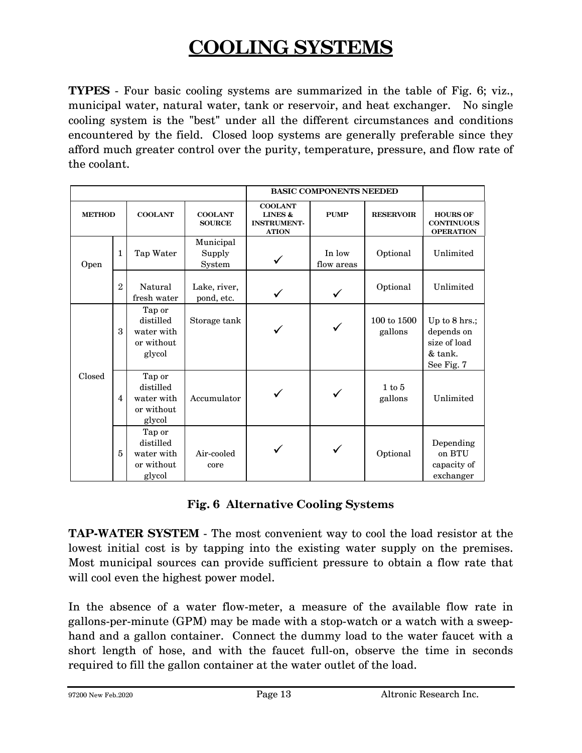# **COOLING SYSTEMS**

**TYPES** - Four basic cooling systems are summarized in the table of Fig. 6; viz., municipal water, natural water, tank or reservoir, and heat exchanger. No single cooling system is the "best" under all the different circumstances and conditions encountered by the field. Closed loop systems are generally preferable since they afford much greater control over the purity, temperature, pressure, and flow rate of the coolant.

|               |                |                                                           |                                 | <b>BASIC COMPONENTS NEEDED</b>                                             |                      |                        |                                                                      |
|---------------|----------------|-----------------------------------------------------------|---------------------------------|----------------------------------------------------------------------------|----------------------|------------------------|----------------------------------------------------------------------|
| <b>METHOD</b> |                | <b>COOLANT</b>                                            | <b>COOLANT</b><br><b>SOURCE</b> | <b>COOLANT</b><br><b>LINES &amp;</b><br><b>INSTRUMENT-</b><br><b>ATION</b> | <b>PUMP</b>          | <b>RESERVOIR</b>       | <b>HOURS OF</b><br><b>CONTINUOUS</b><br><b>OPERATION</b>             |
| Open          | 1              | Tap Water                                                 | Municipal<br>Supply<br>System   |                                                                            | In low<br>flow areas | Optional               | Unlimited                                                            |
|               | $\overline{2}$ | Natural<br>fresh water                                    | Lake, river,<br>pond, etc.      |                                                                            | $\checkmark$         | Optional               | Unlimited                                                            |
|               | 3              | Tap or<br>distilled<br>water with<br>or without<br>glycol | Storage tank                    |                                                                            |                      | 100 to 1500<br>gallons | Up to 8 hrs.;<br>depends on<br>size of load<br>& tank.<br>See Fig. 7 |
| Closed        | $\overline{4}$ | Tap or<br>distilled<br>water with<br>or without<br>glycol | Accumulator                     |                                                                            |                      | 1 to 5<br>gallons      | Unlimited                                                            |
|               | 5              | Tap or<br>distilled<br>water with<br>or without<br>glycol | Air-cooled<br>core              |                                                                            |                      | Optional               | Depending<br>on BTU<br>capacity of<br>exchanger                      |

#### **Fig. 6 Alternative Cooling Systems**

**TAP-WATER SYSTEM** - The most convenient way to cool the load resistor at the lowest initial cost is by tapping into the existing water supply on the premises. Most municipal sources can provide sufficient pressure to obtain a flow rate that will cool even the highest power model.

In the absence of a water flow-meter, a measure of the available flow rate in gallons-per-minute (GPM) may be made with a stop-watch or a watch with a sweephand and a gallon container. Connect the dummy load to the water faucet with a short length of hose, and with the faucet full-on, observe the time in seconds required to fill the gallon container at the water outlet of the load.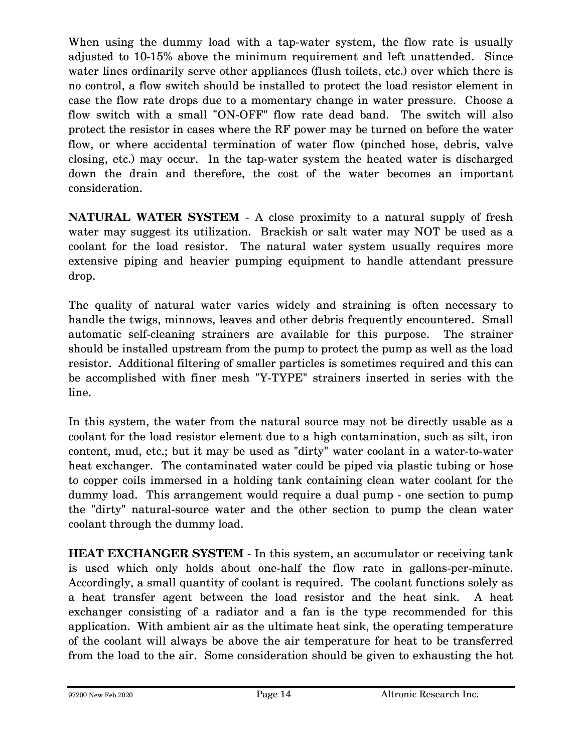When using the dummy load with a tap-water system, the flow rate is usually adjusted to 10-15% above the minimum requirement and left unattended. Since water lines ordinarily serve other appliances (flush toilets, etc.) over which there is no control, a flow switch should be installed to protect the load resistor element in case the flow rate drops due to a momentary change in water pressure. Choose a flow switch with a small "ON-OFF" flow rate dead band. The switch will also protect the resistor in cases where the RF power may be turned on before the water flow, or where accidental termination of water flow (pinched hose, debris, valve closing, etc.) may occur. In the tap-water system the heated water is discharged down the drain and therefore, the cost of the water becomes an important consideration.

**NATURAL WATER SYSTEM** - A close proximity to a natural supply of fresh water may suggest its utilization. Brackish or salt water may NOT be used as a coolant for the load resistor. The natural water system usually requires more extensive piping and heavier pumping equipment to handle attendant pressure drop.

The quality of natural water varies widely and straining is often necessary to handle the twigs, minnows, leaves and other debris frequently encountered. Small automatic self-cleaning strainers are available for this purpose. The strainer should be installed upstream from the pump to protect the pump as well as the load resistor. Additional filtering of smaller particles is sometimes required and this can be accomplished with finer mesh "Y-TYPE" strainers inserted in series with the line.

In this system, the water from the natural source may not be directly usable as a coolant for the load resistor element due to a high contamination, such as silt, iron content, mud, etc.; but it may be used as "dirty" water coolant in a water-to-water heat exchanger. The contaminated water could be piped via plastic tubing or hose to copper coils immersed in a holding tank containing clean water coolant for the dummy load. This arrangement would require a dual pump - one section to pump the "dirty" natural-source water and the other section to pump the clean water coolant through the dummy load.

**HEAT EXCHANGER SYSTEM** - In this system, an accumulator or receiving tank is used which only holds about one-half the flow rate in gallons-per-minute. Accordingly, a small quantity of coolant is required. The coolant functions solely as a heat transfer agent between the load resistor and the heat sink. A heat exchanger consisting of a radiator and a fan is the type recommended for this application. With ambient air as the ultimate heat sink, the operating temperature of the coolant will always be above the air temperature for heat to be transferred from the load to the air. Some consideration should be given to exhausting the hot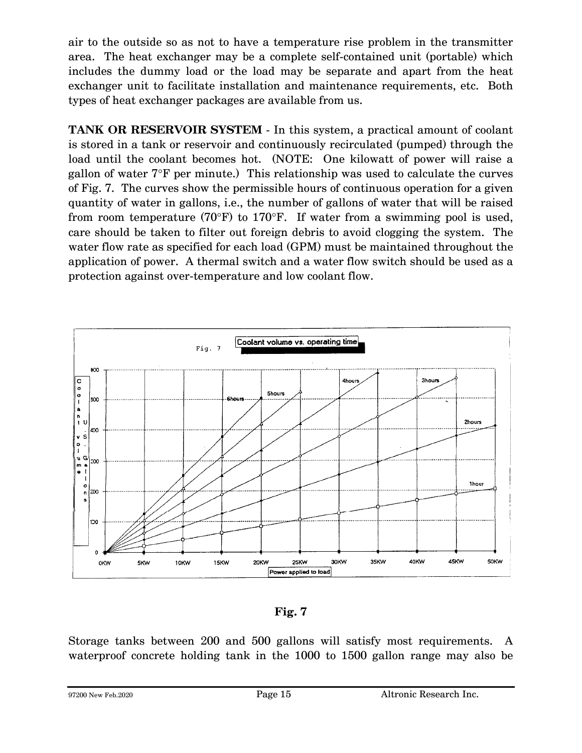air to the outside so as not to have a temperature rise problem in the transmitter area. The heat exchanger may be a complete self-contained unit (portable) which includes the dummy load or the load may be separate and apart from the heat exchanger unit to facilitate installation and maintenance requirements, etc. Both types of heat exchanger packages are available from us.

**TANK OR RESERVOIR SYSTEM** - In this system, a practical amount of coolant is stored in a tank or reservoir and continuously recirculated (pumped) through the load until the coolant becomes hot. (NOTE: One kilowatt of power will raise a gallon of water 7°F per minute.) This relationship was used to calculate the curves of Fig. 7. The curves show the permissible hours of continuous operation for a given quantity of water in gallons, i.e., the number of gallons of water that will be raised from room temperature (70 $\textdegree$ F) to 170 $\textdegree$ F. If water from a swimming pool is used, care should be taken to filter out foreign debris to avoid clogging the system. The water flow rate as specified for each load (GPM) must be maintained throughout the application of power. A thermal switch and a water flow switch should be used as a protection against over-temperature and low coolant flow.



**Fig. 7** 

Storage tanks between 200 and 500 gallons will satisfy most requirements. A waterproof concrete holding tank in the 1000 to 1500 gallon range may also be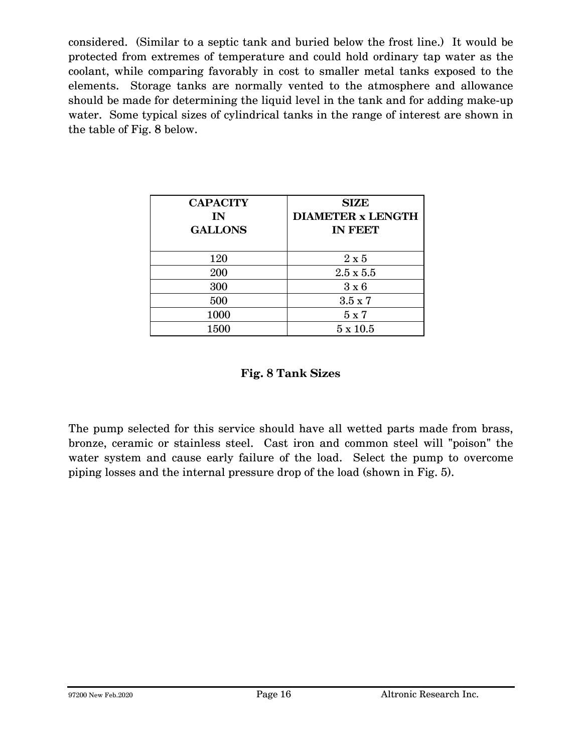considered. (Similar to a septic tank and buried below the frost line.) It would be protected from extremes of temperature and could hold ordinary tap water as the coolant, while comparing favorably in cost to smaller metal tanks exposed to the elements. Storage tanks are normally vented to the atmosphere and allowance should be made for determining the liquid level in the tank and for adding make-up water. Some typical sizes of cylindrical tanks in the range of interest are shown in the table of Fig. 8 below.

| <b>CAPACITY</b><br>IN<br><b>GALLONS</b> | <b>SIZE</b><br><b>DIAMETER x LENGTH</b><br><b>IN FEET</b> |
|-----------------------------------------|-----------------------------------------------------------|
| 120                                     | $2 \times 5$                                              |
| 200                                     | $2.5 \times 5.5$                                          |
| 300                                     | $3 \times 6$                                              |
| 500                                     | $3.5 \times 7$                                            |
| 1000                                    | 5 x 7                                                     |
| 1500                                    | $5 \times 10.5$                                           |

#### **Fig. 8 Tank Sizes**

The pump selected for this service should have all wetted parts made from brass, bronze, ceramic or stainless steel. Cast iron and common steel will "poison" the water system and cause early failure of the load. Select the pump to overcome piping losses and the internal pressure drop of the load (shown in Fig. 5).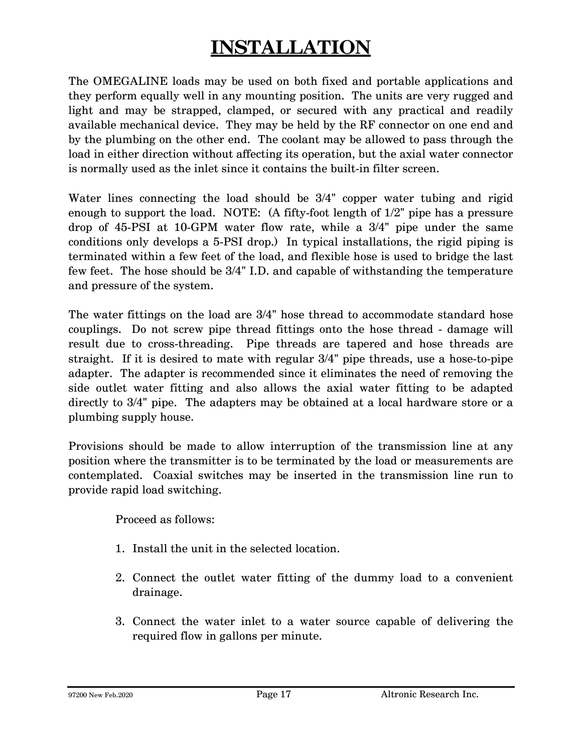# **INSTALLATION**

The OMEGALINE loads may be used on both fixed and portable applications and they perform equally well in any mounting position. The units are very rugged and light and may be strapped, clamped, or secured with any practical and readily available mechanical device. They may be held by the RF connector on one end and by the plumbing on the other end. The coolant may be allowed to pass through the load in either direction without affecting its operation, but the axial water connector is normally used as the inlet since it contains the built-in filter screen.

Water lines connecting the load should be 3/4" copper water tubing and rigid enough to support the load. NOTE: (A fifty-foot length of 1/2" pipe has a pressure drop of 45-PSI at 10-GPM water flow rate, while a 3/4" pipe under the same conditions only develops a 5-PSI drop.) In typical installations, the rigid piping is terminated within a few feet of the load, and flexible hose is used to bridge the last few feet. The hose should be 3/4" I.D. and capable of withstanding the temperature and pressure of the system.

The water fittings on the load are 3/4" hose thread to accommodate standard hose couplings. Do not screw pipe thread fittings onto the hose thread - damage will result due to cross-threading. Pipe threads are tapered and hose threads are straight. If it is desired to mate with regular 3/4" pipe threads, use a hose-to-pipe adapter. The adapter is recommended since it eliminates the need of removing the side outlet water fitting and also allows the axial water fitting to be adapted directly to 3/4" pipe. The adapters may be obtained at a local hardware store or a plumbing supply house.

Provisions should be made to allow interruption of the transmission line at any position where the transmitter is to be terminated by the load or measurements are contemplated. Coaxial switches may be inserted in the transmission line run to provide rapid load switching.

Proceed as follows:

- 1. Install the unit in the selected location.
- 2. Connect the outlet water fitting of the dummy load to a convenient drainage.
- 3. Connect the water inlet to a water source capable of delivering the required flow in gallons per minute.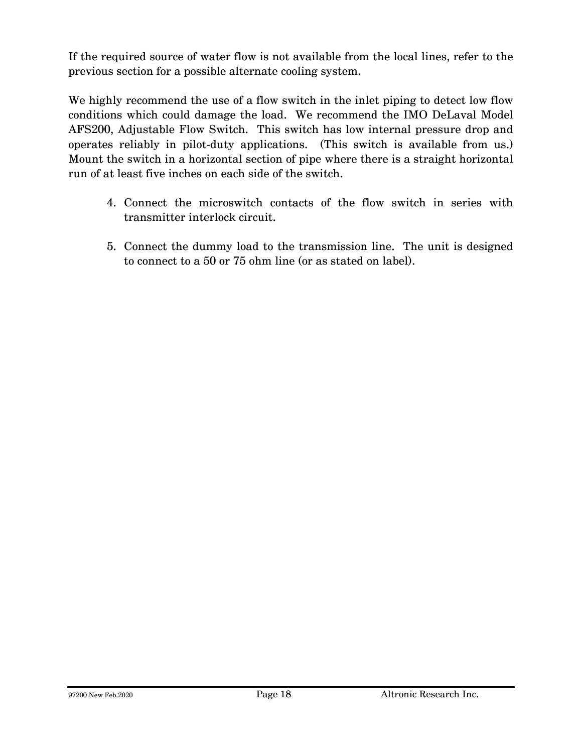If the required source of water flow is not available from the local lines, refer to the previous section for a possible alternate cooling system.

We highly recommend the use of a flow switch in the inlet piping to detect low flow conditions which could damage the load. We recommend the IMO DeLaval Model AFS200, Adjustable Flow Switch. This switch has low internal pressure drop and operates reliably in pilot-duty applications. (This switch is available from us.) Mount the switch in a horizontal section of pipe where there is a straight horizontal run of at least five inches on each side of the switch.

- 4. Connect the microswitch contacts of the flow switch in series with transmitter interlock circuit.
- 5. Connect the dummy load to the transmission line. The unit is designed to connect to a 50 or 75 ohm line (or as stated on label).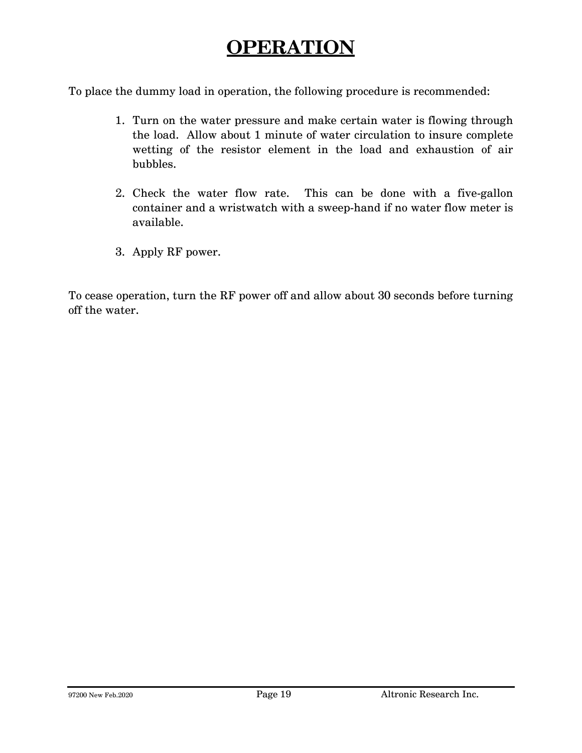## **OPERATION**

To place the dummy load in operation, the following procedure is recommended:

- 1. Turn on the water pressure and make certain water is flowing through the load. Allow about 1 minute of water circulation to insure complete wetting of the resistor element in the load and exhaustion of air bubbles.
- 2. Check the water flow rate. This can be done with a five-gallon container and a wristwatch with a sweep-hand if no water flow meter is available.
- 3. Apply RF power.

To cease operation, turn the RF power off and allow about 30 seconds before turning off the water.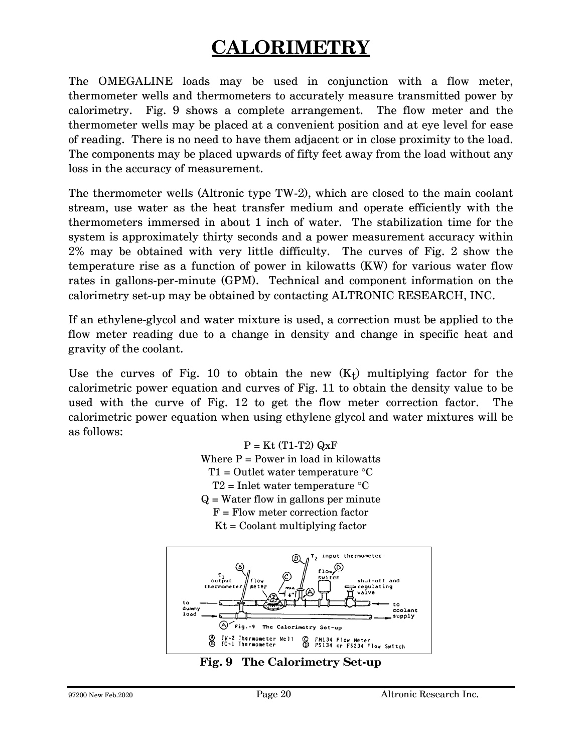# **CALORIMETRY**

The OMEGALINE loads may be used in conjunction with a flow meter, thermometer wells and thermometers to accurately measure transmitted power by calorimetry. Fig. 9 shows a complete arrangement. The flow meter and the thermometer wells may be placed at a convenient position and at eye level for ease of reading. There is no need to have them adjacent or in close proximity to the load. The components may be placed upwards of fifty feet away from the load without any loss in the accuracy of measurement.

The thermometer wells (Altronic type TW-2), which are closed to the main coolant stream, use water as the heat transfer medium and operate efficiently with the thermometers immersed in about 1 inch of water. The stabilization time for the system is approximately thirty seconds and a power measurement accuracy within 2% may be obtained with very little difficulty. The curves of Fig. 2 show the temperature rise as a function of power in kilowatts (KW) for various water flow rates in gallons-per-minute (GPM). Technical and component information on the calorimetry set-up may be obtained by contacting ALTRONIC RESEARCH, INC.

If an ethylene-glycol and water mixture is used, a correction must be applied to the flow meter reading due to a change in density and change in specific heat and gravity of the coolant.

Use the curves of Fig. 10 to obtain the new  $(K_t)$  multiplying factor for the calorimetric power equation and curves of Fig. 11 to obtain the density value to be used with the curve of Fig. 12 to get the flow meter correction factor. The calorimetric power equation when using ethylene glycol and water mixtures will be as follows:

> $P = Kt$  (T1-T2)  $QxF$ Where  $P = Power$  in load in kilowatts  $T1 =$  Outlet water temperature  $°C$  $T2$  = Inlet water temperature  $\mathrm{C}$  $Q = Water$  flow in gallons per minute F = Flow meter correction factor  $Kt =$  Coolant multiplying factor



**Fig. 9 The Calorimetry Set-up**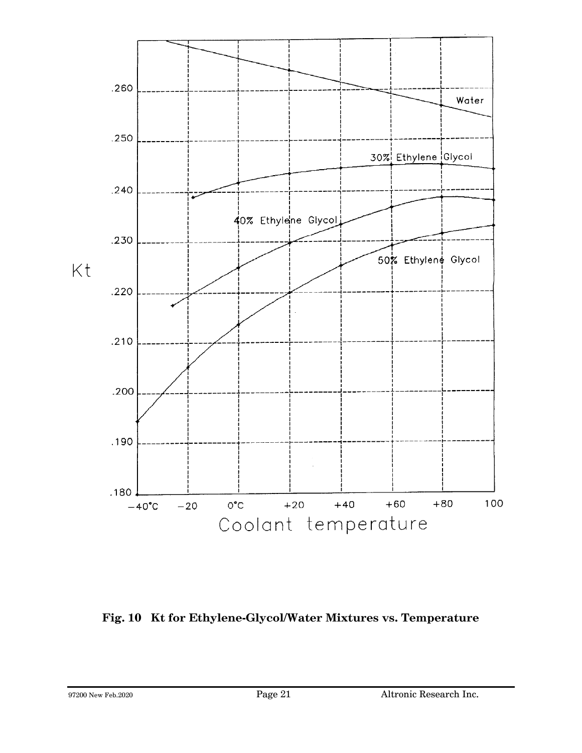

**Fig. 10 Kt for Ethylene-Glycol/Water Mixtures vs. Temperature**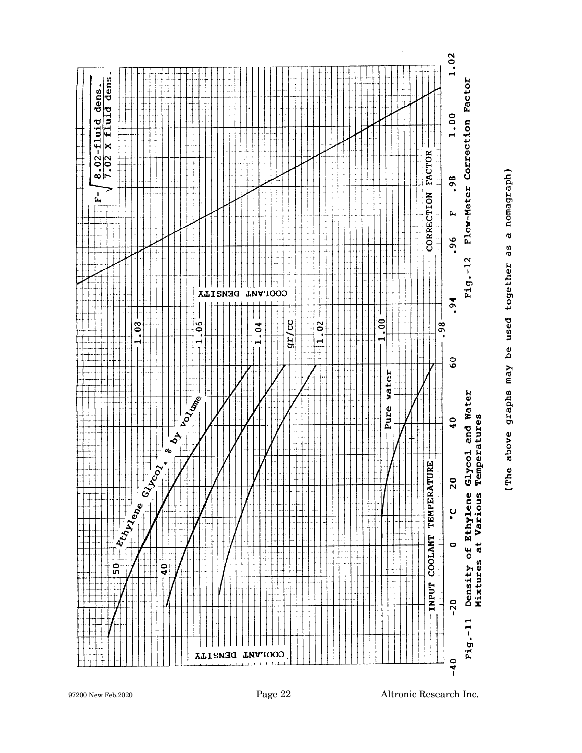

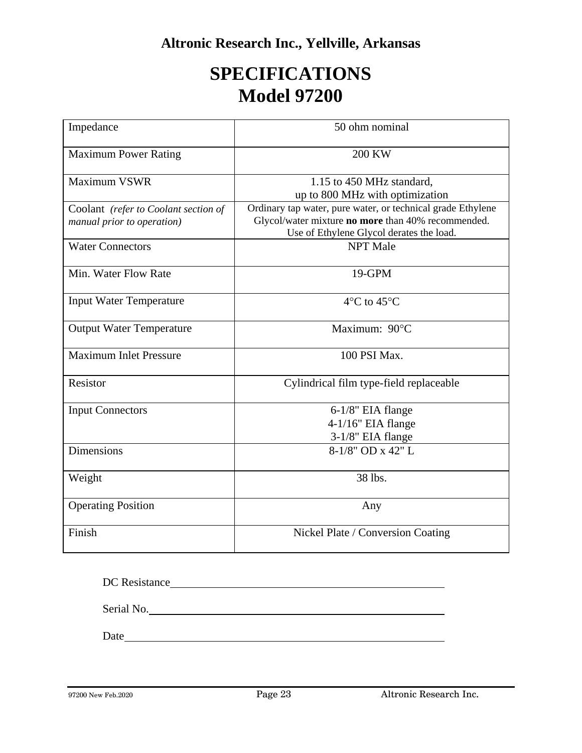### **SPECIFICATIONS Model 97200**

| Impedance                                                          | 50 ohm nominal                                                                                                                                                |
|--------------------------------------------------------------------|---------------------------------------------------------------------------------------------------------------------------------------------------------------|
| <b>Maximum Power Rating</b>                                        | <b>200 KW</b>                                                                                                                                                 |
| <b>Maximum VSWR</b>                                                | 1.15 to 450 MHz standard,<br>up to 800 MHz with optimization                                                                                                  |
| Coolant (refer to Coolant section of<br>manual prior to operation) | Ordinary tap water, pure water, or technical grade Ethylene<br>Glycol/water mixture no more than 40% recommended.<br>Use of Ethylene Glycol derates the load. |
| <b>Water Connectors</b>                                            | <b>NPT</b> Male                                                                                                                                               |
| Min. Water Flow Rate                                               | 19-GPM                                                                                                                                                        |
| <b>Input Water Temperature</b>                                     | $4^{\circ}$ C to $45^{\circ}$ C                                                                                                                               |
| <b>Output Water Temperature</b>                                    | Maximum: 90°C                                                                                                                                                 |
| <b>Maximum Inlet Pressure</b>                                      | 100 PSI Max.                                                                                                                                                  |
| Resistor                                                           | Cylindrical film type-field replaceable                                                                                                                       |
| <b>Input Connectors</b>                                            | 6-1/8" EIA flange<br>4-1/16" EIA flange<br>3-1/8" EIA flange                                                                                                  |
| <b>Dimensions</b>                                                  | 8-1/8" OD x 42" L                                                                                                                                             |
| Weight                                                             | 38 lbs.                                                                                                                                                       |
| <b>Operating Position</b>                                          | Any                                                                                                                                                           |
| Finish                                                             | Nickel Plate / Conversion Coating                                                                                                                             |

| DC Resistance |  |  |
|---------------|--|--|
| Serial No.    |  |  |
| Date          |  |  |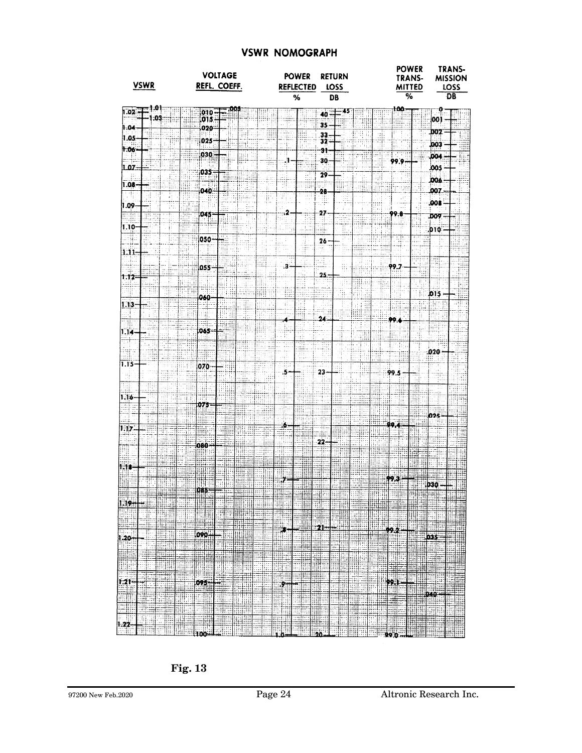#### **VSWR NOMOGRAPH**

| <b>VSWR</b>                                                  | <b>VOLTAGE</b><br>REFL. COEFF.                                                 | <b>POWER</b><br><b>REFLECTED</b>                  | <b>RETURN</b><br>LOSS              | TRANS-<br><b>POWER</b><br>TRANS-<br><b>MISSION</b><br><b>MITTED</b><br>LOSS |
|--------------------------------------------------------------|--------------------------------------------------------------------------------|---------------------------------------------------|------------------------------------|-----------------------------------------------------------------------------|
|                                                              |                                                                                | %                                                 | <b>DB</b>                          | %<br><b>DB</b>                                                              |
| 0<br>1.02 H<br>.03                                           | ,001<br>$.010 -$<br>[015]                                                      |                                                   | $40 -$<br>35                       | 100<br>Q<br>00                                                              |
| 1.04<br>1.05                                                 | 020-<br>025                                                                    |                                                   | .33<br>$32 -$                      | DOZ<br>003                                                                  |
| 1.06<br>LOZ                                                  | 030                                                                            |                                                   | 91<br>30                           | <b>.004</b><br>99.9<br>,005                                                 |
| 1.08 <sub>1</sub>                                            | 035.                                                                           |                                                   | 29                                 | 006                                                                         |
| 1.09                                                         | 040.                                                                           |                                                   | -28                                | .007.<br>008                                                                |
| $1.10 -$                                                     | 045                                                                            | -2                                                | 27                                 | 99.8<br><b>DO9</b><br><b>D10</b>                                            |
| si<br>$1.11 -$                                               | 050-                                                                           |                                                   | 26                                 |                                                                             |
|                                                              | 055-                                                                           | .3.                                               | Ш<br>Œ.                            | 99.7                                                                        |
| 1.12                                                         |                                                                                | m                                                 | 25.                                | D15.                                                                        |
| $1.13 -$                                                     | 060                                                                            | B                                                 |                                    |                                                                             |
| 114                                                          | an a<br>065-                                                                   | 4<br>Ð                                            | 24                                 | 99.6                                                                        |
|                                                              |                                                                                |                                                   |                                    | .020                                                                        |
| 1.15                                                         | 070-                                                                           | 5.                                                | $23 -$                             | 99.5                                                                        |
| 1.16                                                         |                                                                                |                                                   |                                    | Ш                                                                           |
|                                                              | 075                                                                            | ۰6.                                               |                                    | 025<br>99,4                                                                 |
| 1.17                                                         | W<br>080+                                                                      |                                                   | 22.                                |                                                                             |
| 1.18                                                         |                                                                                |                                                   |                                    |                                                                             |
|                                                              |                                                                                |                                                   |                                    | 79.3<br>030                                                                 |
| illio.<br>Naci<br>₩₩<br><b>Alifon</b><br>拒                   | 085<br>  <br>珊<br><b>III</b>                                                   | ᆒ                                                 | :11                                | n. .<br>Ä                                                                   |
| <b>The Second Second</b><br>Will<br>11<br>腰曲<br>لتجبس<br>wan | 484<br>÷<br>▦<br>WH.<br>W                                                      | H<br>噩<br>ning<br>Till<br>E TIHT<br>$\frac{1}{2}$ | Œ<br>EU.<br>ΞŢ<br>-21-             | etter.<br>Glip<br>ਦੋ‡ਸ਼ਜ਼ੂ                                                  |
| ⊞W<br>$1.20 -$<br>西朝<br>linia.                               | W<br>090H<br> <br>       <br>H<br>ET.<br>मा                                    | T<br>ище<br>曲                                     | $\frac{1}{2}$<br><b>HANG</b><br>甜睡 | EHE                                                                         |
| <b>THE SEARCH</b><br>更明<br>非非制                               | in.<br>Ima<br><b>AND</b><br>mitor                                              | I<br>H<br>睡票<br>W                                 | 唯聞<br>Ш                            | HHHH                                                                        |
| <b>131</b><br>EM.<br>₩                                       | H.<br>SUS<br>$rac{1}{\sqrt{2}}$<br>يتلثه<br>Ħ                                  | $\frac{1}{2}$<br>₩<br>I                           | Ш                                  | $^{\circ}$<br>HH<br>EJE<br>ina<br>196<br>再再<br>ШH                           |
| T<br>‡±<br>≒<br>年二<br>Ħ<br>या                                | i I<br>TIE<br>Ħ<br>Ħ.<br>▓                                                     | ijЦ<br>n<br>Œц<br>EË                              | नम<br>44<br>臦<br>WE<br>II<br>W     | Щ<br>नमन                                                                    |
| I<br>1.22<br>∷‡il                                            | anda<br>Ali<br><b>THE</b><br>- 1<br>aga<br>este<br>100 <del>::::::::</del> ::: | W.                                                | Ħ,<br>璽<br>۵۵.                     | ing Card                                                                    |

 **Fig. 13**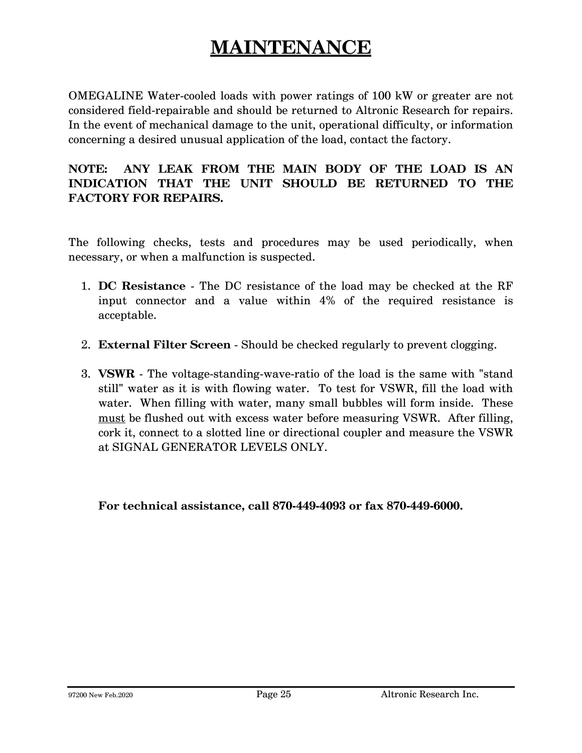## **MAINTENANCE**

OMEGALINE Water-cooled loads with power ratings of 100 kW or greater are not considered field-repairable and should be returned to Altronic Research for repairs. In the event of mechanical damage to the unit, operational difficulty, or information concerning a desired unusual application of the load, contact the factory.

#### **NOTE: ANY LEAK FROM THE MAIN BODY OF THE LOAD IS AN INDICATION THAT THE UNIT SHOULD BE RETURNED TO THE FACTORY FOR REPAIRS.**

The following checks, tests and procedures may be used periodically, when necessary, or when a malfunction is suspected.

- 1. **DC Resistance** The DC resistance of the load may be checked at the RF input connector and a value within 4% of the required resistance is acceptable.
- 2. **External Filter Screen** Should be checked regularly to prevent clogging.
- 3. **VSWR** The voltage-standing-wave-ratio of the load is the same with "stand still" water as it is with flowing water. To test for VSWR, fill the load with water. When filling with water, many small bubbles will form inside. These must be flushed out with excess water before measuring VSWR. After filling, cork it, connect to a slotted line or directional coupler and measure the VSWR at SIGNAL GENERATOR LEVELS ONLY.

 **For technical assistance, call 870-449-4093 or fax 870-449-6000.**